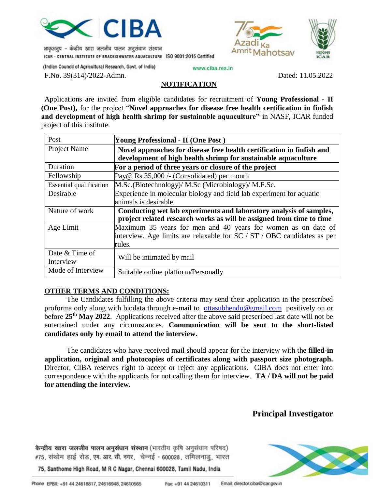

भाकुअनुप – केन्द्रीय खारा जलजीव पालन अनुसंघान संस्थान ICAR - CENTRAL INSTITUTE OF BRACKISHWATER AQUACULTURE ISO 9001:2015 Certified Amrit Mahotsay



(Indian Council of Agricultural Research, Govt. of India)

www.ciba.res.in

F.No. 39(314)/2022-Admn. Dated: 11.05.2022

#### **NOTIFICATION**

Applications are invited from eligible candidates for recruitment of **Young Professional - II (One Post),** for the project "**Novel approaches for disease free health certification in finfish and development of high health shrimp for sustainable aquaculture"** in NASF, ICAR funded project of this institute.

| Post                           | Young Professional - II (One Post)                                        |  |  |
|--------------------------------|---------------------------------------------------------------------------|--|--|
| Project Name                   | Novel approaches for disease free health certification in finfish and     |  |  |
|                                | development of high health shrimp for sustainable aquaculture             |  |  |
| Duration                       | For a period of three years or closure of the project                     |  |  |
| Fellowship                     | Pay@ Rs.35,000 /- (Consolidated) per month                                |  |  |
| <b>Essential qualification</b> | M.Sc.(Biotechnology)/ M.Sc (Microbiology)/ M.F.Sc.                        |  |  |
| Desirable                      | Experience in molecular biology and field lab experiment for aquatic      |  |  |
|                                | animals is desirable                                                      |  |  |
| Nature of work                 | Conducting wet lab experiments and laboratory analysis of samples,        |  |  |
|                                | project related research works as will be assigned from time to time      |  |  |
| Age Limit                      | Maximum 35 years for men and 40 years for women as on date of             |  |  |
|                                | interview. Age limits are relaxable for $SC / ST / OBC$ candidates as per |  |  |
|                                | rules.                                                                    |  |  |
| Date & Time of                 |                                                                           |  |  |
| Interview                      | Will be intimated by mail                                                 |  |  |
| Mode of Interview              | Suitable online platform/Personally                                       |  |  |

### **OTHER TERMS AND CONDITIONS:**

The Candidates fulfilling the above criteria may send their application in the prescribed proforma only along with biodata through e-mail to [ottasubhendu@gmail.com](mailto:ottasubhendu@gmail.com) positively on or before **25 th May 2022**. Applications received after the above said prescribed last date will not be entertained under any circumstances. **Communication will be sent to the short-listed candidates only by email to attend the interview.**

The candidates who have received mail should appear for the interview with the **filled-in application, original and photocopies of certificates along with passport size photograph.**  Director, CIBA reserves right to accept or reject any applications. CIBA does not enter into correspondence with the applicants for not calling them for interview. **TA / DA will not be paid for attending the interview.**

## **Principal Investigator**

केन्द्रीय खारा जलजीव पालन अनुसंधान संस्थान (भारतीय कृषि अनुसंधान परिषद) #75, संथोम हाई रोड, एम. आर. सी. नगर, चेन्नई - 600028, तमिलनाडु, भारत



75, Santhome High Road, M R C Nagar, Chennal 600028, Tamil Nadu, India

Email: director.ciba@icar.gov.in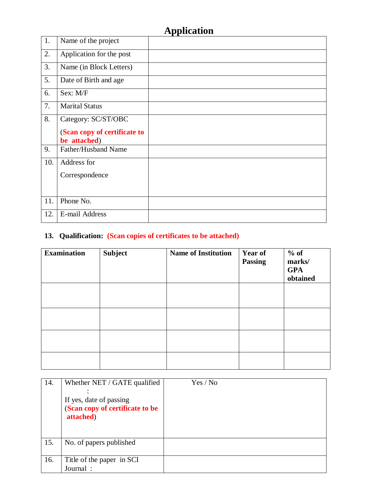# **Application**

| 1.  | Name of the project                          |  |
|-----|----------------------------------------------|--|
| 2.  | Application for the post                     |  |
| 3.  | Name (in Block Letters)                      |  |
| 5.  | Date of Birth and age                        |  |
| 6.  | Sex: M/F                                     |  |
| 7.  | <b>Marital Status</b>                        |  |
| 8.  | Category: SC/ST/OBC                          |  |
|     | (Scan copy of certificate to<br>be attached) |  |
| 9.  | Father/Husband Name                          |  |
| 10. | Address for                                  |  |
|     | Correspondence                               |  |
|     |                                              |  |
| 11. | Phone No.                                    |  |
| 12. | <b>E-mail Address</b>                        |  |

# **13. Qualification: (Scan copies of certificates to be attached)**

| <b>Examination</b> | <b>Subject</b> | <b>Name of Institution</b> | <b>Year of</b><br><b>Passing</b> | $%$ of<br>marks/<br><b>GPA</b><br>obtained |
|--------------------|----------------|----------------------------|----------------------------------|--------------------------------------------|
|                    |                |                            |                                  |                                            |
|                    |                |                            |                                  |                                            |
|                    |                |                            |                                  |                                            |
|                    |                |                            |                                  |                                            |

| 14. | Whether NET / GATE qualified<br>If yes, date of passing<br>(Scan copy of certificate to be<br>attached) | Yes / No |
|-----|---------------------------------------------------------------------------------------------------------|----------|
| 15. | No. of papers published                                                                                 |          |
| 16. | Title of the paper in SCI<br>Journal:                                                                   |          |